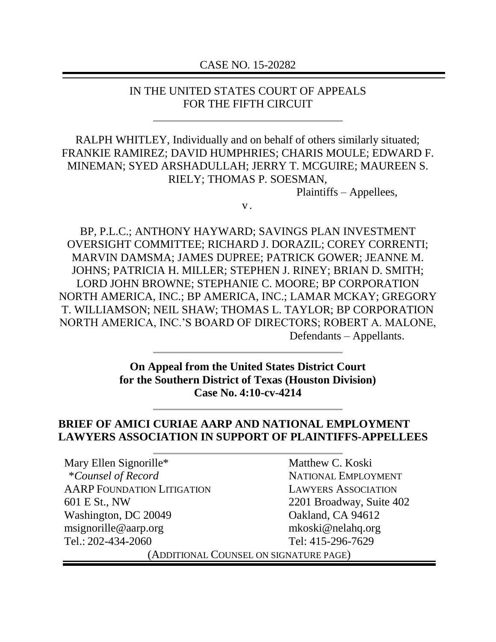#### CASE NO. 15-20282

#### IN THE UNITED STATES COURT OF APPEALS FOR THE FIFTH CIRCUIT

RALPH WHITLEY, Individually and on behalf of others similarly situated; FRANKIE RAMIREZ; DAVID HUMPHRIES; CHARIS MOULE; EDWARD F. MINEMAN; SYED ARSHADULLAH; JERRY T. MCGUIRE; MAUREEN S. RIELY; THOMAS P. SOESMAN,

Plaintiffs – Appellees,

v .

BP, P.L.C.; ANTHONY HAYWARD; SAVINGS PLAN INVESTMENT OVERSIGHT COMMITTEE; RICHARD J. DORAZIL; COREY CORRENTI; MARVIN DAMSMA; JAMES DUPREE; PATRICK GOWER; JEANNE M. JOHNS; PATRICIA H. MILLER; STEPHEN J. RINEY; BRIAN D. SMITH; LORD JOHN BROWNE; STEPHANIE C. MOORE; BP CORPORATION NORTH AMERICA, INC.; BP AMERICA, INC.; LAMAR MCKAY; GREGORY T. WILLIAMSON; NEIL SHAW; THOMAS L. TAYLOR; BP CORPORATION NORTH AMERICA, INC.'S BOARD OF DIRECTORS; ROBERT A. MALONE, Defendants – Appellants.

> **On Appeal from the United States District Court for the Southern District of Texas (Houston Division) Case No. 4:10-cv-4214**

### **BRIEF OF AMICI CURIAE AARP AND NATIONAL EMPLOYMENT LAWYERS ASSOCIATION IN SUPPORT OF PLAINTIFFS-APPELLEES**

Mary Ellen Signorille\* \**Counsel of Record* AARP FOUNDATION LITIGATION 601 E St., NW Washington, DC 20049 msignorille@aarp.org Tel.: 202-434-2060 Matthew C. Koski NATIONAL EMPLOYMENT LAWYERS ASSOCIATION 2201 Broadway, Suite 402 Oakland, CA 94612 mkoski@nelahq.org Tel: 415-296-7629 (ADDITIONAL COUNSEL ON SIGNATURE PAGE)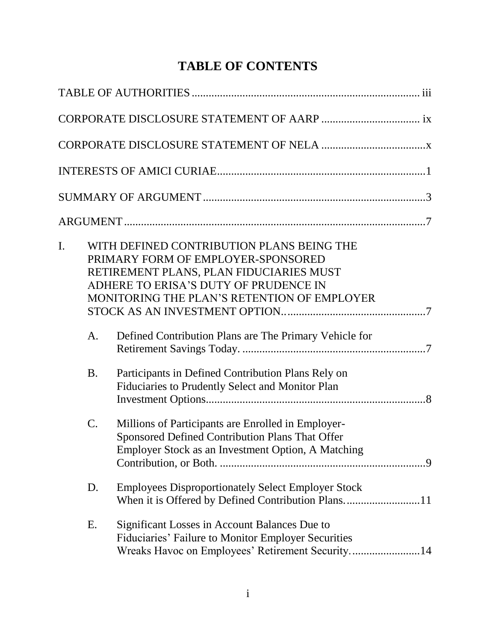# **TABLE OF CONTENTS**

| I.<br>A.  | WITH DEFINED CONTRIBUTION PLANS BEING THE<br>PRIMARY FORM OF EMPLOYER-SPONSORED<br>RETIREMENT PLANS, PLAN FIDUCIARIES MUST<br>ADHERE TO ERISA'S DUTY OF PRUDENCE IN<br>MONITORING THE PLAN'S RETENTION OF EMPLOYER<br>Defined Contribution Plans are The Primary Vehicle for |  |
|-----------|------------------------------------------------------------------------------------------------------------------------------------------------------------------------------------------------------------------------------------------------------------------------------|--|
| <b>B.</b> | Participants in Defined Contribution Plans Rely on<br>Fiduciaries to Prudently Select and Monitor Plan                                                                                                                                                                       |  |
| $C$ .     | Millions of Participants are Enrolled in Employer-<br>Sponsored Defined Contribution Plans That Offer<br>Employer Stock as an Investment Option, A Matching                                                                                                                  |  |
| D.        | <b>Employees Disproportionately Select Employer Stock</b><br>When it is Offered by Defined Contribution Plans11                                                                                                                                                              |  |
| Ε.        | Significant Losses in Account Balances Due to<br>Fiduciaries' Failure to Monitor Employer Securities<br>Wreaks Havoc on Employees' Retirement Security14                                                                                                                     |  |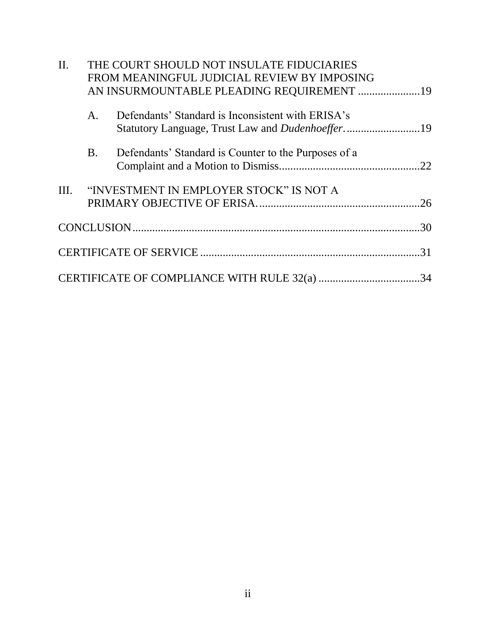| II. |           | THE COURT SHOULD NOT INSULATE FIDUCIARIES            |     |
|-----|-----------|------------------------------------------------------|-----|
|     |           | FROM MEANINGFUL JUDICIAL REVIEW BY IMPOSING          |     |
|     |           | AN INSURMOUNTABLE PLEADING REQUIREMENT  19           |     |
|     |           |                                                      |     |
|     | А.        | Defendants' Standard is Inconsistent with ERISA's    |     |
|     |           |                                                      |     |
|     |           |                                                      |     |
|     | <b>B.</b> | Defendants' Standard is Counter to the Purposes of a |     |
|     |           |                                                      | .22 |
|     |           |                                                      |     |
|     |           | III. "INVESTMENT IN EMPLOYER STOCK" IS NOT A         |     |
|     |           |                                                      |     |
|     |           |                                                      |     |
|     |           |                                                      |     |
|     |           |                                                      |     |
|     |           |                                                      |     |
|     |           |                                                      |     |
|     |           | CERTIFICATE OF COMPLIANCE WITH RULE 32(a) 34         |     |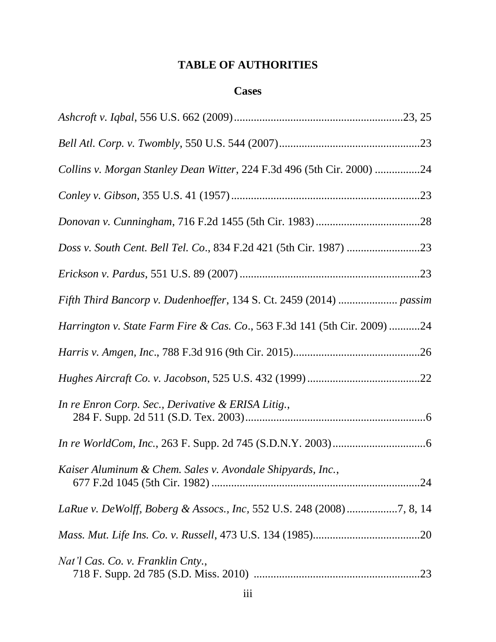# **TABLE OF AUTHORITIES**

### **Cases**

| Collins v. Morgan Stanley Dean Witter, 224 F.3d 496 (5th Cir. 2000) 24                |
|---------------------------------------------------------------------------------------|
|                                                                                       |
|                                                                                       |
|                                                                                       |
|                                                                                       |
| Fifth Third Bancorp v. Dudenhoeffer, 134 S. Ct. 2459 (2014)  passim                   |
| <i>Harrington v. State Farm Fire &amp; Cas. Co.</i> , 563 F.3d 141 (5th Cir. 2009) 24 |
|                                                                                       |
|                                                                                       |
| In re Enron Corp. Sec., Derivative & ERISA Litig.,                                    |
|                                                                                       |
| Kaiser Aluminum & Chem. Sales v. Avondale Shipyards, Inc.,                            |
|                                                                                       |
|                                                                                       |
| Nat'l Cas. Co. v. Franklin Cnty.,                                                     |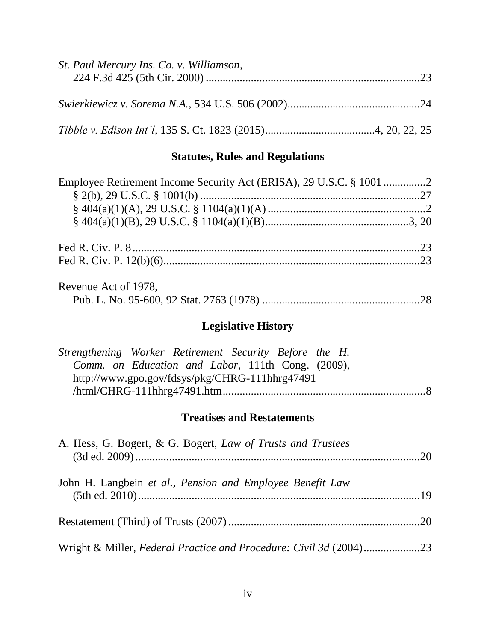| St. Paul Mercury Ins. Co. v. Williamson, |  |
|------------------------------------------|--|
|                                          |  |
|                                          |  |

# **Statutes, Rules and Regulations**

| Employee Retirement Income Security Act (ERISA), 29 U.S.C. § 1001 2 |  |
|---------------------------------------------------------------------|--|
|                                                                     |  |
|                                                                     |  |
|                                                                     |  |
|                                                                     |  |
|                                                                     |  |
| Revenue Act of 1978,                                                |  |
|                                                                     |  |

# **Legislative History**

| Strengthening Worker Retirement Security Before the H. |  |  |  |  |
|--------------------------------------------------------|--|--|--|--|
| Comm. on Education and Labor, 111th Cong. (2009),      |  |  |  |  |
| http://www.gpo.gov/fdsys/pkg/CHRG-111hhrg47491         |  |  |  |  |
|                                                        |  |  |  |  |

# **Treatises and Restatements**

| A. Hess, G. Bogert, & G. Bogert, Law of Trusts and Trustees        |  |
|--------------------------------------------------------------------|--|
| John H. Langbein et al., Pension and Employee Benefit Law          |  |
|                                                                    |  |
| Wright & Miller, Federal Practice and Procedure: Civil 3d (2004)23 |  |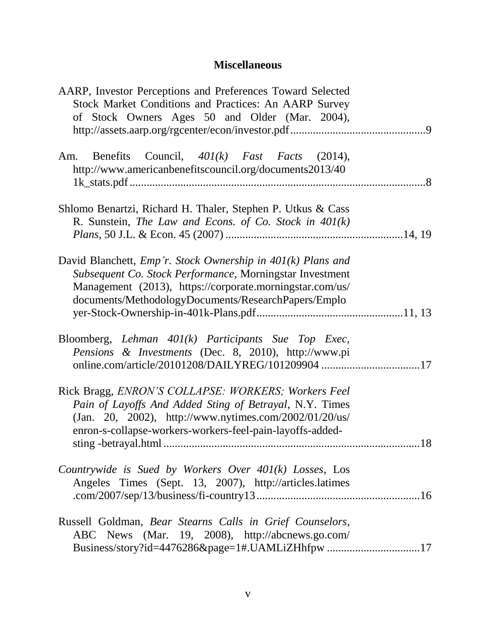# **Miscellaneous**

| AARP, Investor Perceptions and Preferences Toward Selected<br>Stock Market Conditions and Practices: An AARP Survey<br>of Stock Owners Ages 50 and Older (Mar. 2004),                                                                               |  |
|-----------------------------------------------------------------------------------------------------------------------------------------------------------------------------------------------------------------------------------------------------|--|
| Benefits Council, $401(k)$ Fast Facts (2014),<br>Am.<br>http://www.americanbenefitscouncil.org/documents2013/40                                                                                                                                     |  |
| Shlomo Benartzi, Richard H. Thaler, Stephen P. Utkus & Cass<br>R. Sunstein, The Law and Econs. of Co. Stock in $401(k)$                                                                                                                             |  |
| David Blanchett, <i>Emp'r.</i> Stock Ownership in $401(k)$ Plans and<br>Subsequent Co. Stock Performance, Morningstar Investment<br>Management (2013), https://corporate.morningstar.com/us/<br>documents/MethodologyDocuments/ResearchPapers/Emplo |  |
| Bloomberg, Lehman $401(k)$ Participants Sue Top Exec,<br>Pensions & Investments (Dec. 8, 2010), http://www.pi<br>online.com/article/20101208/DAILYREG/101209904 17                                                                                  |  |
| Rick Bragg, ENRON'S COLLAPSE: WORKERS; Workers Feel<br>Pain of Layoffs And Added Sting of Betrayal, N.Y. Times<br>(Jan. 20, 2002), http://www.nytimes.com/2002/01/20/us/<br>enron-s-collapse-workers-workers-feel-pain-layoffs-added-               |  |
| Countrywide is Sued by Workers Over $401(k)$ Losses, Los<br>Angeles Times (Sept. 13, 2007), http://articles.latimes                                                                                                                                 |  |
| Russell Goldman, Bear Stearns Calls in Grief Counselors,<br>ABC News (Mar. 19, 2008), http://abcnews.go.com/<br>Business/story?id=4476286&page=1#.UAMLiZHhfpw 17                                                                                    |  |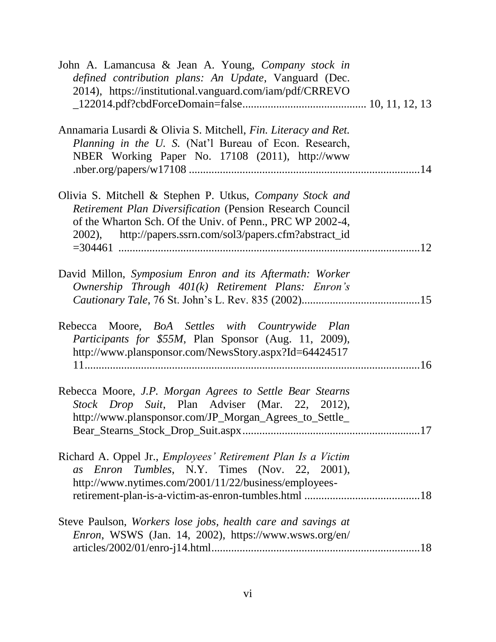| John A. Lamancusa & Jean A. Young, Company stock in<br>defined contribution plans: An Update, Vanguard (Dec.<br>2014), https://institutional.vanguard.com/iam/pdf/CRREVO                                                                        |  |
|-------------------------------------------------------------------------------------------------------------------------------------------------------------------------------------------------------------------------------------------------|--|
| Annamaria Lusardi & Olivia S. Mitchell, Fin. Literacy and Ret.<br>Planning in the U. S. (Nat'l Bureau of Econ. Research,<br>NBER Working Paper No. 17108 (2011), http://www                                                                     |  |
| Olivia S. Mitchell & Stephen P. Utkus, Company Stock and<br>Retirement Plan Diversification (Pension Research Council<br>of the Wharton Sch. Of the Univ. of Penn., PRC WP 2002-4,<br>2002), http://papers.ssrn.com/sol3/papers.cfm?abstract_id |  |
| David Millon, Symposium Enron and its Aftermath: Worker<br>Ownership Through 401(k) Retirement Plans: Enron's                                                                                                                                   |  |
| Rebecca Moore, BoA Settles with Countrywide Plan<br>Participants for \$55M, Plan Sponsor (Aug. 11, 2009),<br>http://www.plansponsor.com/NewsStory.aspx?Id=64424517                                                                              |  |
| Rebecca Moore, J.P. Morgan Agrees to Settle Bear Stearns<br>Stock Drop Suit, Plan Adviser (Mar. 22, 2012),<br>http://www.plansponsor.com/JP_Morgan_Agrees_to_Settle_                                                                            |  |
| Richard A. Oppel Jr., <i>Employees' Retirement Plan Is a Victim</i><br>Enron Tumbles, N.Y. Times (Nov. 22, 2001),<br>as<br>http://www.nytimes.com/2001/11/22/business/employees-                                                                |  |
| Steve Paulson, Workers lose jobs, health care and savings at<br>Enron, WSWS (Jan. 14, 2002), https://www.wsws.org/en/                                                                                                                           |  |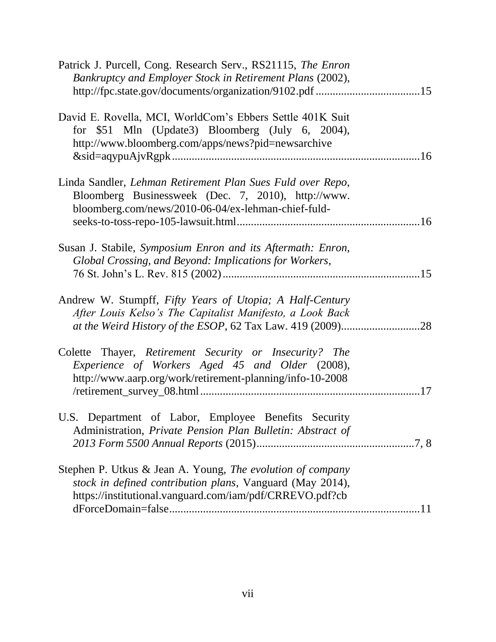| Patrick J. Purcell, Cong. Research Serv., RS21115, The Enron<br>Bankruptcy and Employer Stock in Retirement Plans (2002),                                                           |     |
|-------------------------------------------------------------------------------------------------------------------------------------------------------------------------------------|-----|
| David E. Rovella, MCI, WorldCom's Ebbers Settle 401K Suit<br>for \$51 Mln (Update3) Bloomberg (July 6, 2004),<br>http://www.bloomberg.com/apps/news?pid=newsarchive                 |     |
| Linda Sandler, Lehman Retirement Plan Sues Fuld over Repo,<br>Bloomberg Businessweek (Dec. 7, 2010), http://www.<br>bloomberg.com/news/2010-06-04/ex-lehman-chief-fuld-             |     |
| Susan J. Stabile, Symposium Enron and its Aftermath: Enron,<br>Global Crossing, and Beyond: Implications for Workers,                                                               |     |
| Andrew W. Stumpff, Fifty Years of Utopia; A Half-Century<br>After Louis Kelso's The Capitalist Manifesto, a Look Back                                                               | .28 |
| Colette Thayer, Retirement Security or Insecurity? The<br>Experience of Workers Aged 45 and Older (2008),<br>http://www.aarp.org/work/retirement-planning/info-10-2008              |     |
| U.S. Department of Labor, Employee Benefits Security<br>Administration, Private Pension Plan Bulletin: Abstract of                                                                  |     |
| Stephen P. Utkus & Jean A. Young, The evolution of company<br>stock in defined contribution plans, Vanguard (May 2014),<br>https://institutional.vanguard.com/iam/pdf/CRREVO.pdf?cb |     |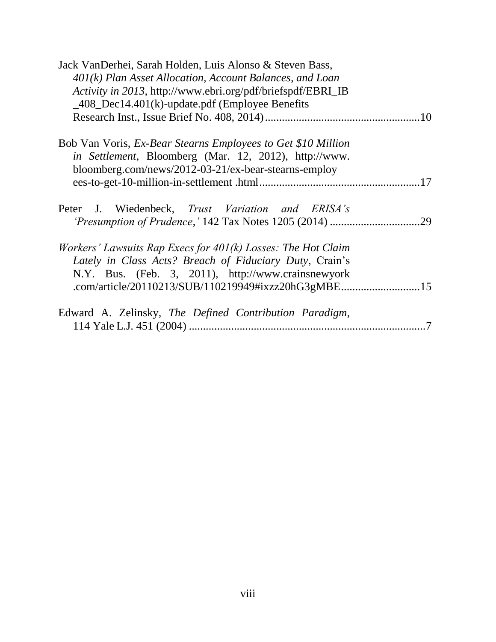| Jack VanDerhei, Sarah Holden, Luis Alonso & Steven Bass,       |
|----------------------------------------------------------------|
| $401(k)$ Plan Asset Allocation, Account Balances, and Loan     |
| Activity in 2013, http://www.ebri.org/pdf/briefspdf/EBRI_IB    |
| $\_\frac{408}\_$ Dec14.401(k)-update.pdf (Employee Benefits    |
|                                                                |
|                                                                |
| Bob Van Voris, Ex-Bear Stearns Employees to Get \$10 Million   |
| in Settlement, Bloomberg (Mar. 12, 2012), http://www.          |
| bloomberg.com/news/2012-03-21/ex-bear-stearns-employ           |
|                                                                |
|                                                                |
| Peter J. Wiedenbeck, Trust Variation and ERISA's               |
|                                                                |
|                                                                |
| Workers' Lawsuits Rap Execs for $401(k)$ Losses: The Hot Claim |
| Lately in Class Acts? Breach of Fiduciary Duty, Crain's        |
| N.Y. Bus. (Feb. 3, 2011), http://www.crainsnewyork             |
| .com/article/20110213/SUB/110219949#ixzz20hG3gMBE15            |
|                                                                |
| Edward A. Zelinsky, The Defined Contribution Paradigm,         |
| .7                                                             |
|                                                                |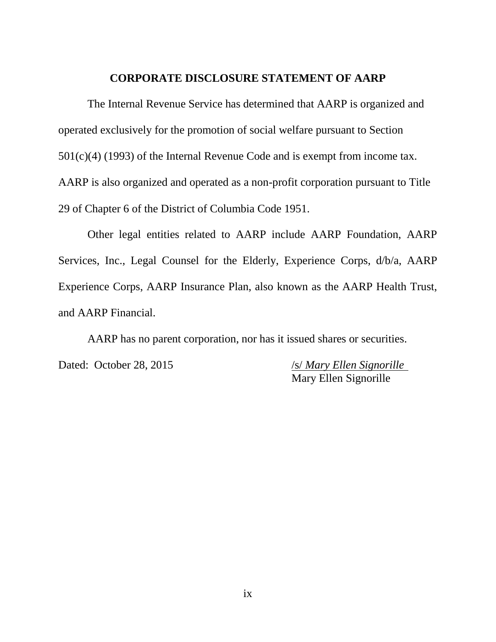#### **CORPORATE DISCLOSURE STATEMENT OF AARP**

The Internal Revenue Service has determined that AARP is organized and operated exclusively for the promotion of social welfare pursuant to Section 501(c)(4) (1993) of the Internal Revenue Code and is exempt from income tax. AARP is also organized and operated as a non-profit corporation pursuant to Title 29 of Chapter 6 of the District of Columbia Code 1951.

Other legal entities related to AARP include AARP Foundation, AARP Services, Inc., Legal Counsel for the Elderly, Experience Corps, d/b/a, AARP Experience Corps, AARP Insurance Plan, also known as the AARP Health Trust, and AARP Financial.

AARP has no parent corporation, nor has it issued shares or securities. Dated: October 28, 2015 /s/ *Mary Ellen Signorille* Mary Ellen Signorille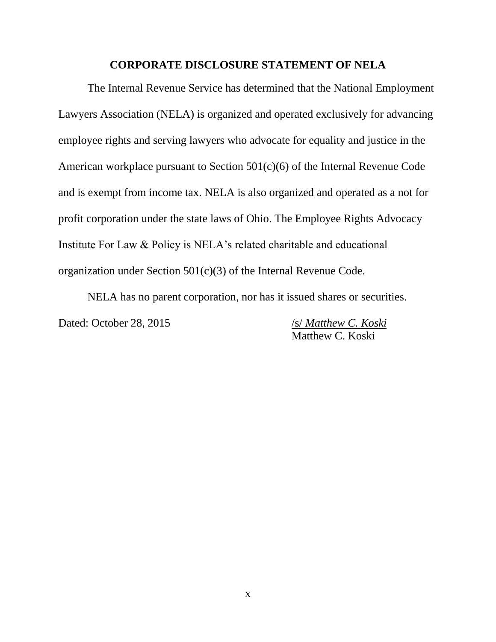#### **CORPORATE DISCLOSURE STATEMENT OF NELA**

The Internal Revenue Service has determined that the National Employment Lawyers Association (NELA) is organized and operated exclusively for advancing employee rights and serving lawyers who advocate for equality and justice in the American workplace pursuant to Section 501(c)(6) of the Internal Revenue Code and is exempt from income tax. NELA is also organized and operated as a not for profit corporation under the state laws of Ohio. The Employee Rights Advocacy Institute For Law & Policy is NELA's related charitable and educational organization under Section 501(c)(3) of the Internal Revenue Code.

NELA has no parent corporation, nor has it issued shares or securities. Dated: October 28, 2015 /s/ *Matthew C. Koski* 

Matthew C. Koski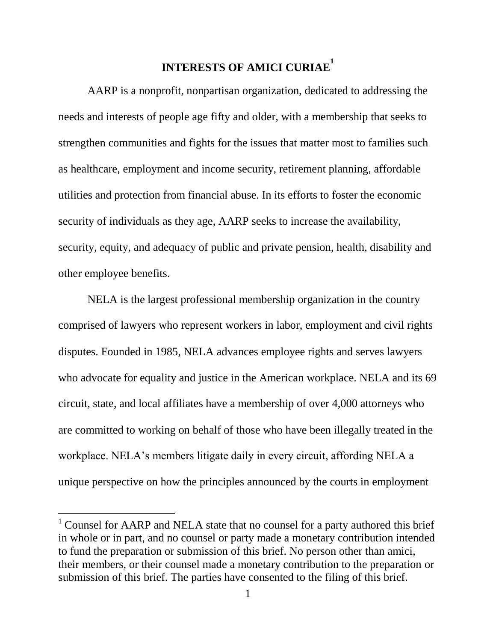# **INTERESTS OF AMICI CURIAE<sup>1</sup>**

AARP is a nonprofit, nonpartisan organization, dedicated to addressing the needs and interests of people age fifty and older, with a membership that seeks to strengthen communities and fights for the issues that matter most to families such as healthcare, employment and income security, retirement planning, affordable utilities and protection from financial abuse. In its efforts to foster the economic security of individuals as they age, AARP seeks to increase the availability, security, equity, and adequacy of public and private pension, health, disability and other employee benefits.

NELA is the largest professional membership organization in the country comprised of lawyers who represent workers in labor, employment and civil rights disputes. Founded in 1985, NELA advances employee rights and serves lawyers who advocate for equality and justice in the American workplace. NELA and its 69 circuit, state, and local affiliates have a membership of over 4,000 attorneys who are committed to working on behalf of those who have been illegally treated in the workplace. NELA's members litigate daily in every circuit, affording NELA a unique perspective on how the principles announced by the courts in employment

 $1$  Counsel for AARP and NELA state that no counsel for a party authored this brief in whole or in part, and no counsel or party made a monetary contribution intended to fund the preparation or submission of this brief. No person other than amici, their members, or their counsel made a monetary contribution to the preparation or submission of this brief. The parties have consented to the filing of this brief.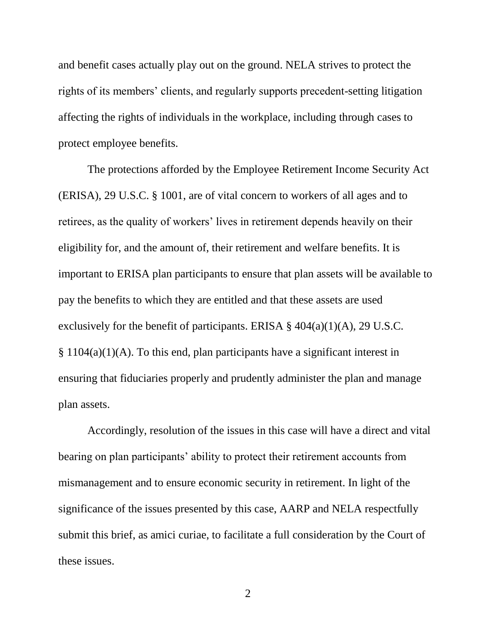and benefit cases actually play out on the ground. NELA strives to protect the rights of its members' clients, and regularly supports precedent-setting litigation affecting the rights of individuals in the workplace, including through cases to protect employee benefits.

The protections afforded by the Employee Retirement Income Security Act (ERISA), 29 U.S.C. § 1001, are of vital concern to workers of all ages and to retirees, as the quality of workers' lives in retirement depends heavily on their eligibility for, and the amount of, their retirement and welfare benefits. It is important to ERISA plan participants to ensure that plan assets will be available to pay the benefits to which they are entitled and that these assets are used exclusively for the benefit of participants. ERISA  $\S$  404(a)(1)(A), 29 U.S.C. § 1104(a)(1)(A). To this end, plan participants have a significant interest in ensuring that fiduciaries properly and prudently administer the plan and manage plan assets.

Accordingly, resolution of the issues in this case will have a direct and vital bearing on plan participants' ability to protect their retirement accounts from mismanagement and to ensure economic security in retirement. In light of the significance of the issues presented by this case, AARP and NELA respectfully submit this brief, as amici curiae, to facilitate a full consideration by the Court of these issues.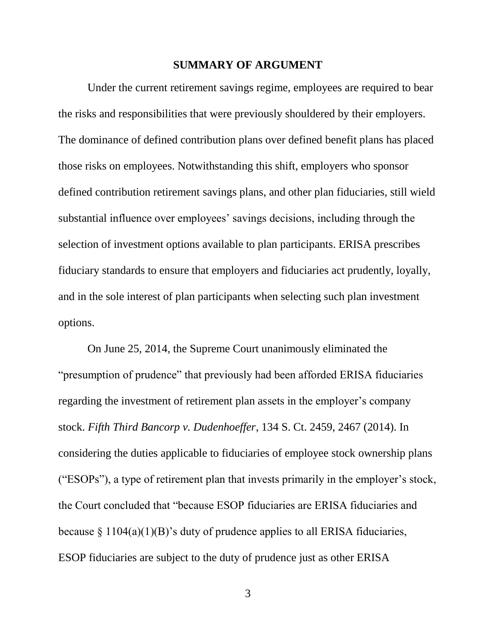#### **SUMMARY OF ARGUMENT**

<span id="page-13-0"></span>Under the current retirement savings regime, employees are required to bear the risks and responsibilities that were previously shouldered by their employers. The dominance of defined contribution plans over defined benefit plans has placed those risks on employees. Notwithstanding this shift, employers who sponsor defined contribution retirement savings plans, and other plan fiduciaries, still wield substantial influence over employees' savings decisions, including through the selection of investment options available to plan participants. ERISA prescribes fiduciary standards to ensure that employers and fiduciaries act prudently, loyally, and in the sole interest of plan participants when selecting such plan investment options.

On June 25, 2014, the Supreme Court unanimously eliminated the "presumption of prudence" that previously had been afforded ERISA fiduciaries regarding the investment of retirement plan assets in the employer's company stock. *Fifth Third Bancorp v. Dudenhoeffer*, 134 S. Ct. 2459, 2467 (2014). In considering the duties applicable to fiduciaries of employee stock ownership plans ("ESOPs"), a type of retirement plan that invests primarily in the employer's stock, the Court concluded that "because ESOP fiduciaries are ERISA fiduciaries and because  $\S 1104(a)(1)(B)$ 's duty of prudence applies to all ERISA fiduciaries, ESOP fiduciaries are subject to the duty of prudence just as other ERISA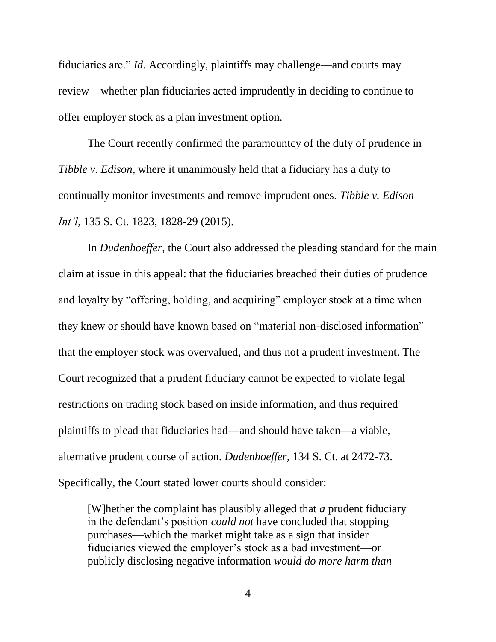fiduciaries are." *Id*. Accordingly, plaintiffs may challenge—and courts may review—whether plan fiduciaries acted imprudently in deciding to continue to offer employer stock as a plan investment option.

The Court recently confirmed the paramountcy of the duty of prudence in *Tibble v. Edison*, where it unanimously held that a fiduciary has a duty to continually monitor investments and remove imprudent ones. *Tibble v. Edison Int'l*, 135 S. Ct. 1823, 1828-29 (2015).

In *Dudenhoeffer*, the Court also addressed the pleading standard for the main claim at issue in this appeal: that the fiduciaries breached their duties of prudence and loyalty by "offering, holding, and acquiring" employer stock at a time when they knew or should have known based on "material non-disclosed information" that the employer stock was overvalued, and thus not a prudent investment. The Court recognized that a prudent fiduciary cannot be expected to violate legal restrictions on trading stock based on inside information, and thus required plaintiffs to plead that fiduciaries had—and should have taken—a viable, alternative prudent course of action. *Dudenhoeffer*, 134 S. Ct. at 2472-73. Specifically, the Court stated lower courts should consider:

[W]hether the complaint has plausibly alleged that *a* prudent fiduciary in the defendant's position *could not* have concluded that stopping purchases—which the market might take as a sign that insider fiduciaries viewed the employer's stock as a bad investment—or publicly disclosing negative information *would do more harm than*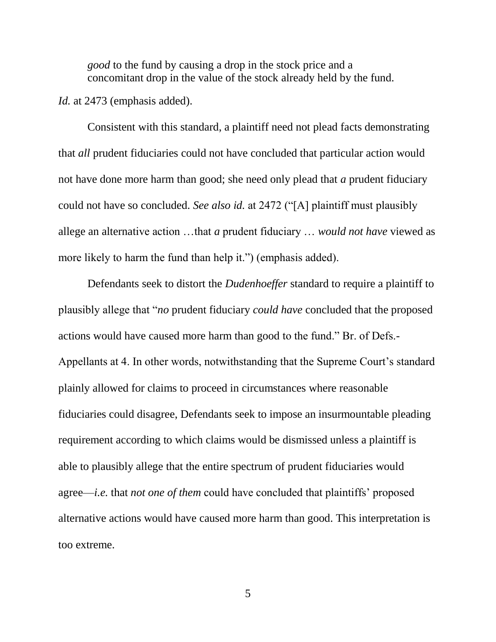*good* to the fund by causing a drop in the stock price and a concomitant drop in the value of the stock already held by the fund.

*Id.* at 2473 (emphasis added).

Consistent with this standard, a plaintiff need not plead facts demonstrating that *all* prudent fiduciaries could not have concluded that particular action would not have done more harm than good; she need only plead that *a* prudent fiduciary could not have so concluded. *See also id.* at 2472 ("[A] plaintiff must plausibly allege an alternative action …that *a* prudent fiduciary … *would not have* viewed as more likely to harm the fund than help it.") (emphasis added).

Defendants seek to distort the *Dudenhoeffer* standard to require a plaintiff to plausibly allege that "*no* prudent fiduciary *could have* concluded that the proposed actions would have caused more harm than good to the fund." Br. of Defs.- Appellants at 4. In other words, notwithstanding that the Supreme Court's standard plainly allowed for claims to proceed in circumstances where reasonable fiduciaries could disagree, Defendants seek to impose an insurmountable pleading requirement according to which claims would be dismissed unless a plaintiff is able to plausibly allege that the entire spectrum of prudent fiduciaries would agree—*i.e.* that *not one of them* could have concluded that plaintiffs' proposed alternative actions would have caused more harm than good. This interpretation is too extreme.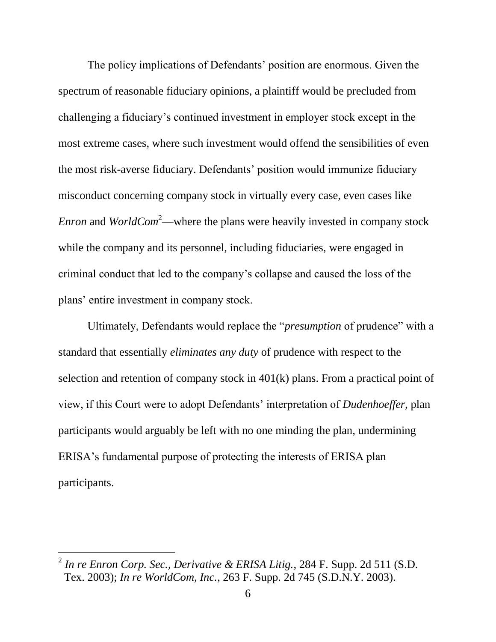The policy implications of Defendants' position are enormous. Given the spectrum of reasonable fiduciary opinions, a plaintiff would be precluded from challenging a fiduciary's continued investment in employer stock except in the most extreme cases, where such investment would offend the sensibilities of even the most risk-averse fiduciary. Defendants' position would immunize fiduciary misconduct concerning company stock in virtually every case, even cases like *Enron* and *WorldCom*<sup>2</sup>—where the plans were heavily invested in company stock while the company and its personnel, including fiduciaries, were engaged in criminal conduct that led to the company's collapse and caused the loss of the plans' entire investment in company stock.

Ultimately, Defendants would replace the "*presumption* of prudence" with a standard that essentially *eliminates any duty* of prudence with respect to the selection and retention of company stock in 401(k) plans. From a practical point of view, if this Court were to adopt Defendants' interpretation of *Dudenhoeffer*, plan participants would arguably be left with no one minding the plan, undermining ERISA's fundamental purpose of protecting the interests of ERISA plan participants.

<sup>2</sup> *In re Enron Corp. Sec., Derivative & ERISA Litig.*, 284 F. Supp. 2d 511 (S.D. Tex. 2003); *In re WorldCom, Inc.*, 263 F. Supp. 2d 745 (S.D.N.Y. 2003).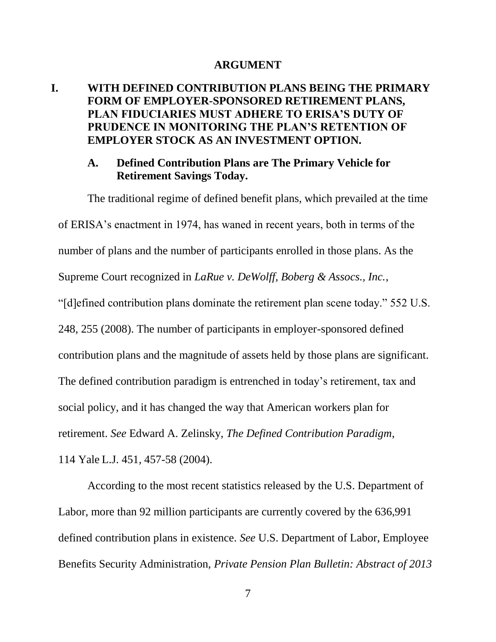#### **ARGUMENT**

### <span id="page-17-1"></span><span id="page-17-0"></span>**I. WITH DEFINED CONTRIBUTION PLANS BEING THE PRIMARY FORM OF EMPLOYER-SPONSORED RETIREMENT PLANS, PLAN FIDUCIARIES MUST ADHERE TO ERISA'S DUTY OF PRUDENCE IN MONITORING THE PLAN'S RETENTION OF EMPLOYER STOCK AS AN INVESTMENT OPTION.**

#### <span id="page-17-2"></span>**A. Defined Contribution Plans are The Primary Vehicle for Retirement Savings Today.**

The traditional regime of defined benefit plans, which prevailed at the time of ERISA's enactment in 1974, has waned in recent years, both in terms of the number of plans and the number of participants enrolled in those plans. As the Supreme Court recognized in *LaRue v. DeWolff, Boberg & Assocs., Inc.*, "[d]efined contribution plans dominate the retirement plan scene today." 552 U.S. 248, 255 (2008). The number of participants in employer-sponsored defined contribution plans and the magnitude of assets held by those plans are significant. The defined contribution paradigm is entrenched in today's retirement, tax and social policy, and it has changed the way that American workers plan for retirement. *See* Edward A. Zelinsky, *The Defined Contribution Paradigm*, 114 Yale L.J. 451, 457-58 (2004).

According to the most recent statistics released by the U.S. Department of Labor, more than 92 million participants are currently covered by the 636,991 defined contribution plans in existence. *See* U.S. Department of Labor, Employee Benefits Security Administration, *Private Pension Plan Bulletin: Abstract of 2013*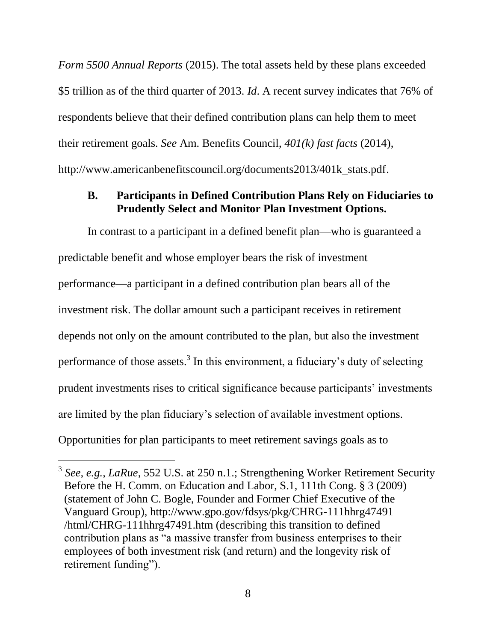*Form 5500 Annual Reports* (2015). The total assets held by these plans exceeded \$5 trillion as of the third quarter of 2013. *Id*. A recent survey indicates that 76% of respondents believe that their defined contribution plans can help them to meet their retirement goals. *See* Am. Benefits Council, *401(k) fast facts* (2014), http://www.americanbenefitscouncil.org/documents2013/401k\_stats.pdf.

### <span id="page-18-0"></span>**B. Participants in Defined Contribution Plans Rely on Fiduciaries to Prudently Select and Monitor Plan Investment Options.**

In contrast to a participant in a defined benefit plan—who is guaranteed a predictable benefit and whose employer bears the risk of investment performance—a participant in a defined contribution plan bears all of the investment risk. The dollar amount such a participant receives in retirement depends not only on the amount contributed to the plan, but also the investment performance of those assets.<sup>3</sup> In this environment, a fiduciary's duty of selecting prudent investments rises to critical significance because participants' investments are limited by the plan fiduciary's selection of available investment options. Opportunities for plan participants to meet retirement savings goals as to

<sup>3</sup> *See, e.g.*, *LaRue*, 552 U.S. at 250 n.1.; Strengthening Worker Retirement Security Before the H. Comm. on Education and Labor, S.1, 111th Cong. § 3 (2009) (statement of John C. Bogle, Founder and Former Chief Executive of the Vanguard Group), http://www.gpo.gov/fdsys/pkg/CHRG-111hhrg47491 /html/CHRG-111hhrg47491.htm (describing this transition to defined contribution plans as "a massive transfer from business enterprises to their employees of both investment risk (and return) and the longevity risk of retirement funding").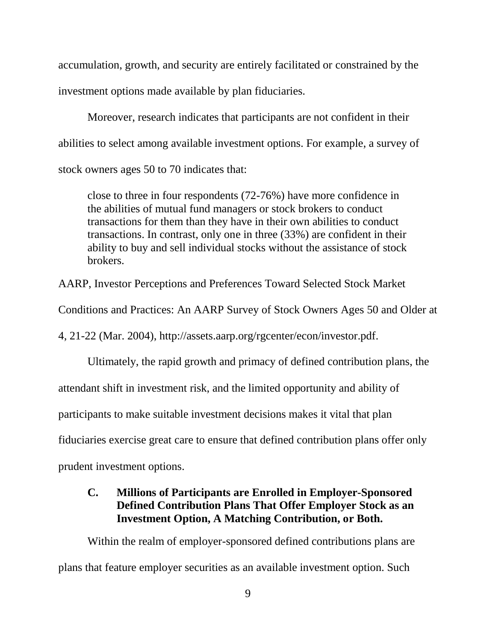accumulation, growth, and security are entirely facilitated or constrained by the investment options made available by plan fiduciaries.

Moreover, research indicates that participants are not confident in their abilities to select among available investment options. For example, a survey of stock owners ages 50 to 70 indicates that:

close to three in four respondents (72-76%) have more confidence in the abilities of mutual fund managers or stock brokers to conduct transactions for them than they have in their own abilities to conduct transactions. In contrast, only one in three (33%) are confident in their ability to buy and sell individual stocks without the assistance of stock brokers.

AARP, Investor Perceptions and Preferences Toward Selected Stock Market

Conditions and Practices: An AARP Survey of Stock Owners Ages 50 and Older at

4, 21-22 (Mar. 2004), http://assets.aarp.org/rgcenter/econ/investor.pdf.

Ultimately, the rapid growth and primacy of defined contribution plans, the

attendant shift in investment risk, and the limited opportunity and ability of

participants to make suitable investment decisions makes it vital that plan

fiduciaries exercise great care to ensure that defined contribution plans offer only

<span id="page-19-0"></span>prudent investment options.

### **C. Millions of Participants are Enrolled in Employer-Sponsored Defined Contribution Plans That Offer Employer Stock as an Investment Option, A Matching Contribution, or Both.**

Within the realm of employer-sponsored defined contributions plans are plans that feature employer securities as an available investment option. Such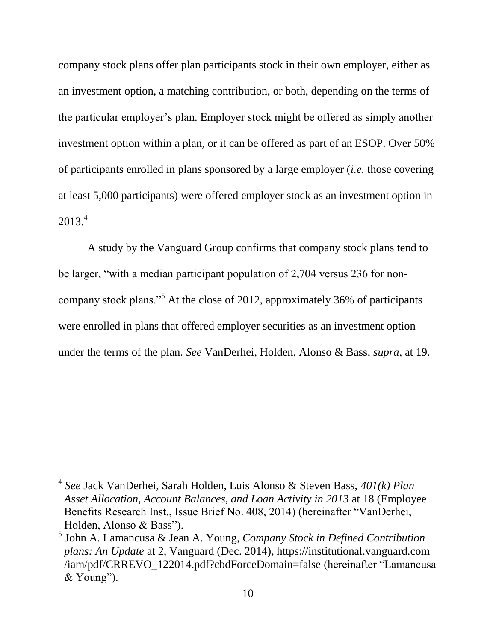company stock plans offer plan participants stock in their own employer, either as an investment option, a matching contribution, or both, depending on the terms of the particular employer's plan. Employer stock might be offered as simply another investment option within a plan, or it can be offered as part of an ESOP. Over 50% of participants enrolled in plans sponsored by a large employer (*i.e.* those covering at least 5,000 participants) were offered employer stock as an investment option in 2013.<sup>4</sup>

A study by the Vanguard Group confirms that company stock plans tend to be larger, "with a median participant population of 2,704 versus 236 for noncompany stock plans."<sup>5</sup> At the close of 2012, approximately 36% of participants were enrolled in plans that offered employer securities as an investment option under the terms of the plan. *See* VanDerhei, Holden, Alonso & Bass, *supra*, at 19.

l

<sup>4</sup> *See* Jack VanDerhei, Sarah Holden, Luis Alonso & Steven Bass, *401(k) Plan Asset Allocation, Account Balances, and Loan Activity in 2013* at 18 (Employee Benefits Research Inst., Issue Brief No. 408, 2014) (hereinafter "VanDerhei, Holden, Alonso & Bass").

<sup>5</sup> John A. Lamancusa & Jean A. Young, *Company Stock in Defined Contribution plans: An Update* at 2, Vanguard (Dec. 2014)*,* https://institutional.vanguard.com /iam/pdf/CRREVO\_122014.pdf?cbdForceDomain=false (hereinafter "Lamancusa & Young").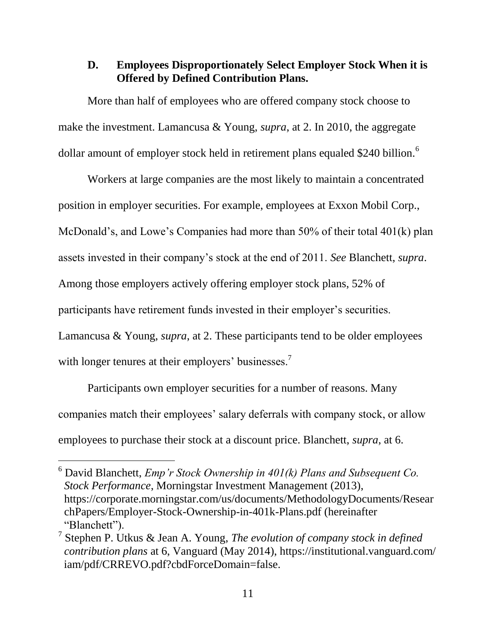### <span id="page-21-0"></span>**D. Employees Disproportionately Select Employer Stock When it is Offered by Defined Contribution Plans.**

More than half of employees who are offered company stock choose to make the investment. Lamancusa & Young, *supra*, at 2. In 2010, the aggregate dollar amount of employer stock held in retirement plans equaled \$240 billion.<sup>6</sup>

Workers at large companies are the most likely to maintain a concentrated position in employer securities. For example, employees at Exxon Mobil Corp., McDonald's, and Lowe's Companies had more than 50% of their total 401(k) plan assets invested in their company's stock at the end of 2011. *See* Blanchett, *supra*. Among those employers actively offering employer stock plans, 52% of participants have retirement funds invested in their employer's securities. Lamancusa & Young, *supra*, at 2. These participants tend to be older employees with longer tenures at their employers' businesses.<sup>7</sup>

Participants own employer securities for a number of reasons. Many companies match their employees' salary deferrals with company stock, or allow employees to purchase their stock at a discount price. Blanchett, *supra*, at 6.

<sup>6</sup> David Blanchett, *Emp'r Stock Ownership in 401(k) Plans and Subsequent Co. Stock Performance*, Morningstar Investment Management (2013), https://corporate.morningstar.com/us/documents/MethodologyDocuments/Resear chPapers/Employer-Stock-Ownership-in-401k-Plans.pdf (hereinafter "Blanchett").

<sup>7</sup> Stephen P. Utkus & Jean A. Young, *The evolution of company stock in defined contribution plans* at 6, Vanguard (May 2014), https://institutional.vanguard.com/ iam/pdf/CRREVO.pdf?cbdForceDomain=false.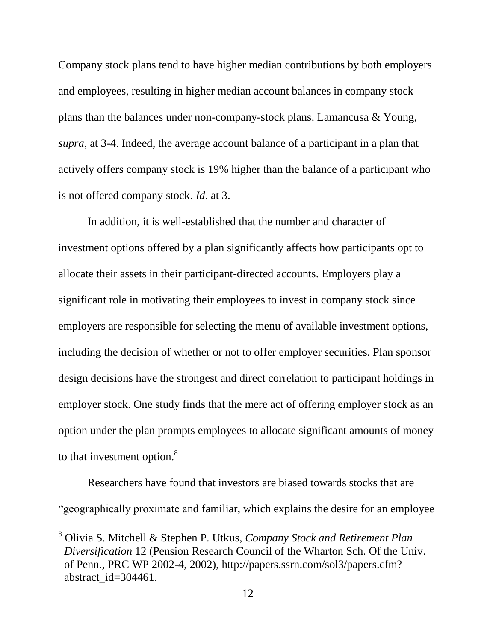Company stock plans tend to have higher median contributions by both employers and employees, resulting in higher median account balances in company stock plans than the balances under non-company-stock plans. Lamancusa & Young, *supra*, at 3-4. Indeed, the average account balance of a participant in a plan that actively offers company stock is 19% higher than the balance of a participant who is not offered company stock. *Id*. at 3.

In addition, it is well-established that the number and character of investment options offered by a plan significantly affects how participants opt to allocate their assets in their participant-directed accounts. Employers play a significant role in motivating their employees to invest in company stock since employers are responsible for selecting the menu of available investment options, including the decision of whether or not to offer employer securities. Plan sponsor design decisions have the strongest and direct correlation to participant holdings in employer stock. One study finds that the mere act of offering employer stock as an option under the plan prompts employees to allocate significant amounts of money to that investment option.<sup>8</sup>

Researchers have found that investors are biased towards stocks that are "geographically proximate and familiar, which explains the desire for an employee

<sup>8</sup> Olivia S. Mitchell & Stephen P. Utkus, *Company Stock and Retirement Plan Diversification* 12 (Pension Research Council of the Wharton Sch. Of the Univ. of Penn., PRC WP 2002-4, 2002), [http://papers.ssrn.com/sol3/papers.cfm?](http://papers.ssrn.com/sol3/papers.cfm?%20abstract_id=304461)  [abstract\\_id=304461.](http://papers.ssrn.com/sol3/papers.cfm?%20abstract_id=304461)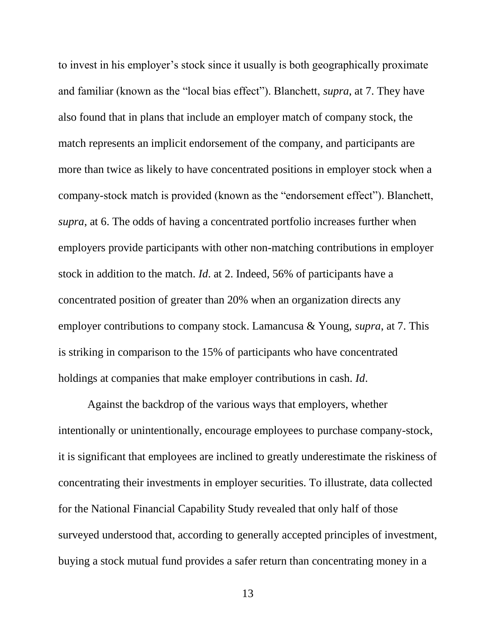to invest in his employer's stock since it usually is both geographically proximate and familiar (known as the "local bias effect"). Blanchett, *supra*, at 7. They have also found that in plans that include an employer match of company stock, the match represents an implicit endorsement of the company, and participants are more than twice as likely to have concentrated positions in employer stock when a company-stock match is provided (known as the "endorsement effect"). Blanchett, *supra*, at 6. The odds of having a concentrated portfolio increases further when employers provide participants with other non-matching contributions in employer stock in addition to the match. *Id*. at 2. Indeed, 56% of participants have a concentrated position of greater than 20% when an organization directs any employer contributions to company stock. Lamancusa & Young, *supra*, at 7. This is striking in comparison to the 15% of participants who have concentrated holdings at companies that make employer contributions in cash. *Id*.

Against the backdrop of the various ways that employers, whether intentionally or unintentionally, encourage employees to purchase company-stock, it is significant that employees are inclined to greatly underestimate the riskiness of concentrating their investments in employer securities. To illustrate, data collected for the National Financial Capability Study revealed that only half of those surveyed understood that, according to generally accepted principles of investment, buying a stock mutual fund provides a safer return than concentrating money in a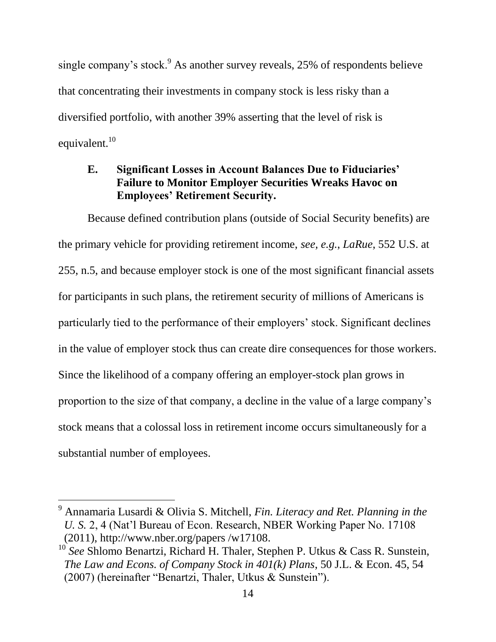single company's stock.<sup>9</sup> As another survey reveals,  $25\%$  of respondents believe that concentrating their investments in company stock is less risky than a diversified portfolio, with another 39% asserting that the level of risk is equivalent. $10$ 

### <span id="page-24-0"></span>**E. Significant Losses in Account Balances Due to Fiduciaries' Failure to Monitor Employer Securities Wreaks Havoc on Employees' Retirement Security.**

Because defined contribution plans (outside of Social Security benefits) are the primary vehicle for providing retirement income, *see, e.g.*, *LaRue*, 552 U.S. at 255, n.5, and because employer stock is one of the most significant financial assets for participants in such plans, the retirement security of millions of Americans is particularly tied to the performance of their employers' stock. Significant declines in the value of employer stock thus can create dire consequences for those workers. Since the likelihood of a company offering an employer-stock plan grows in proportion to the size of that company, a decline in the value of a large company's stock means that a colossal loss in retirement income occurs simultaneously for a substantial number of employees.

l

<sup>9</sup> Annamaria Lusardi & Olivia S. Mitchell, *Fin. Literacy and Ret. Planning in the U. S.* 2, 4 (Nat'l Bureau of Econ. Research, NBER Working Paper No. 17108 (2011), http://www.nber.org/papers /w17108.

<sup>&</sup>lt;sup>10</sup> See Shlomo Benartzi, Richard H. Thaler, Stephen P. Utkus & Cass R. Sunstein, *The Law and Econs. of Company Stock in 401(k) Plans*, 50 J.L. & Econ. 45, 54 (2007) (hereinafter "Benartzi, Thaler, Utkus & Sunstein").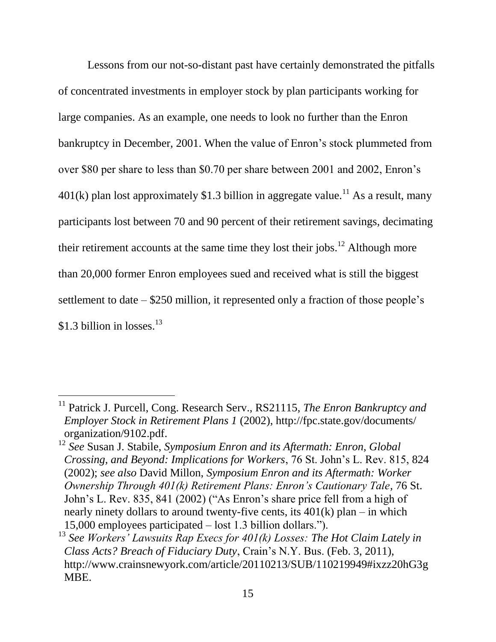Lessons from our not-so-distant past have certainly demonstrated the pitfalls of concentrated investments in employer stock by plan participants working for large companies. As an example, one needs to look no further than the Enron bankruptcy in December, 2001. When the value of Enron's stock plummeted from over \$80 per share to less than \$0.70 per share between 2001 and 2002, Enron's  $401(k)$  plan lost approximately \$1.3 billion in aggregate value.<sup>11</sup> As a result, many participants lost between 70 and 90 percent of their retirement savings, decimating their retirement accounts at the same time they lost their jobs.<sup>12</sup> Although more than 20,000 former Enron employees sued and received what is still the biggest settlement to date – \$250 million, it represented only a fraction of those people's \$1.3 billion in losses. $^{13}$ 

<sup>&</sup>lt;sup>11</sup> Patrick J. Purcell, Cong. Research Serv., RS21115, *The Enron Bankruptcy and Employer Stock in Retirement Plans 1* (2002), http://fpc.state.gov/documents/ organization/9102.pdf.

<sup>12</sup> *See* Susan J. Stabile, *Symposium Enron and its Aftermath: Enron, Global Crossing, and Beyond: Implications for Workers*, 76 St. John's L. Rev. 815, 824 (2002); *see also* David Millon, *Symposium Enron and its Aftermath: Worker Ownership Through 401(k) Retirement Plans: Enron's Cautionary Tale*, 76 St. John's L. Rev. 835, 841 (2002) ("As Enron's share price fell from a high of nearly ninety dollars to around twenty-five cents, its  $401(k)$  plan – in which 15,000 employees participated – lost 1.3 billion dollars.").

<sup>13</sup> *See Workers' Lawsuits Rap Execs for 401(k) Losses: The Hot Claim Lately in Class Acts? Breach of Fiduciary Duty*, Crain's N.Y. Bus. (Feb. 3, 2011), [http://www.crainsnewyork.com/article/20110213/SUB/110219949#ixzz20hG3g](http://www.crainsnewyork.com/article/20110213/SUB/%20110219949#ixzz20hG3gMBE) [MBE.](http://www.crainsnewyork.com/article/20110213/SUB/%20110219949#ixzz20hG3gMBE)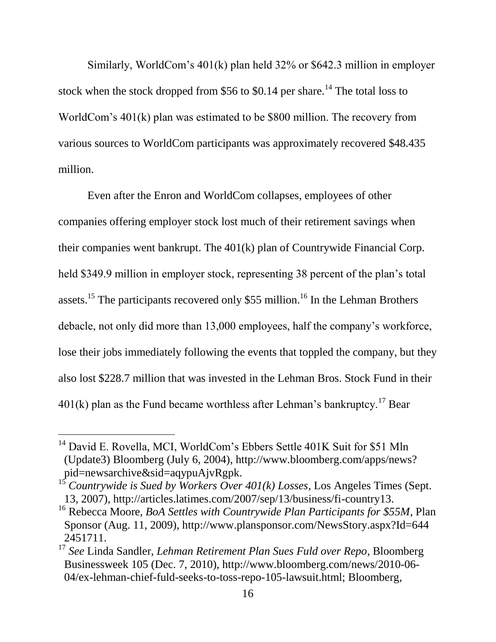Similarly, WorldCom's 401(k) plan held 32% or \$642.3 million in employer stock when the stock dropped from \$56 to \$0.14 per share.<sup>14</sup> The total loss to WorldCom's 401(k) plan was estimated to be \$800 million. The recovery from various sources to WorldCom participants was approximately recovered \$48.435 million.

Even after the Enron and WorldCom collapses, employees of other companies offering employer stock lost much of their retirement savings when their companies went bankrupt. The 401(k) plan of Countrywide Financial Corp. held \$349.9 million in employer stock, representing 38 percent of the plan's total assets.<sup>15</sup> The participants recovered only \$55 million.<sup>16</sup> In the Lehman Brothers debacle, not only did more than 13,000 employees, half the company's workforce, lose their jobs immediately following the events that toppled the company, but they also lost \$228.7 million that was invested in the Lehman Bros. Stock Fund in their  $401(k)$  plan as the Fund became worthless after Lehman's bankruptcy.<sup>17</sup> Bear

l

<sup>&</sup>lt;sup>14</sup> David E. Rovella, MCI, WorldCom's Ebbers Settle 401K Suit for \$51 Mln (Update3) Bloomberg (July 6, 2004), http://www.bloomberg.com/apps/news? pid=newsarchive&sid=aqypuAjvRgpk.

<sup>15</sup> *Countrywide is Sued by Workers Over 401(k) Losses*, Los Angeles Times (Sept. 13, 2007), http://articles.latimes.com/2007/sep/13/business/fi-country13.

<sup>16</sup> Rebecca Moore, *BoA Settles with Countrywide Plan Participants for \$55M*, Plan Sponsor (Aug. 11, 2009), http://www.plansponsor.com/NewsStory.aspx?Id=644 2451711.

<sup>17</sup> *See* Linda Sandler, *Lehman Retirement Plan Sues Fuld over Repo*, Bloomberg Businessweek 105 (Dec. 7, 2010), http://www.bloomberg.com/news/2010-06- 04/ex-lehman-chief-fuld-seeks-to-toss-repo-105-lawsuit.html; Bloomberg,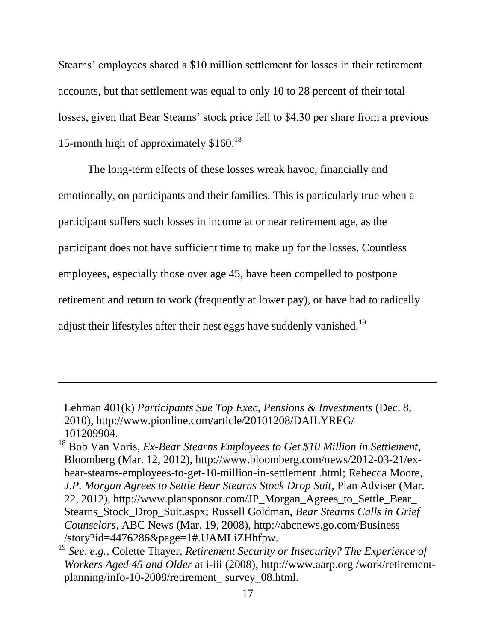Stearns' employees shared a \$10 million settlement for losses in their retirement accounts, but that settlement was equal to only 10 to 28 percent of their total losses, given that Bear Stearns' stock price fell to \$4.30 per share from a previous 15-month high of approximately \$160.<sup>18</sup>

The long-term effects of these losses wreak havoc, financially and emotionally, on participants and their families. This is particularly true when a participant suffers such losses in income at or near retirement age, as the participant does not have sufficient time to make up for the losses. Countless employees, especially those over age 45, have been compelled to postpone retirement and return to work (frequently at lower pay), or have had to radically adjust their lifestyles after their nest eggs have suddenly vanished.<sup>19</sup>

Lehman 401(k) *Participants Sue Top Exec, Pensions & Investments* (Dec. 8, 2010), http://www.pionline.com/article/20101208/DAILYREG/ 101209904.

<sup>18</sup> Bob Van Voris, *Ex-Bear Stearns Employees to Get \$10 Million in Settlement*, Bloomberg (Mar. 12, 2012), http://www.bloomberg.com/news/2012-03-21/exbear-stearns-employees-to-get-10-million-in-settlement .html; Rebecca Moore, *J.P. Morgan Agrees to Settle Bear Stearns Stock Drop Suit*, Plan Adviser (Mar. 22, 2012), http://www.plansponsor.com/JP\_Morgan\_Agrees\_to\_Settle\_Bear\_ Stearns\_Stock\_Drop\_Suit.aspx; Russell Goldman, *Bear Stearns Calls in Grief Counselors*, ABC News (Mar. 19, 2008), http://abcnews.go.com/Business /story?id=4476286&page=1#.UAMLiZHhfpw.

<sup>19</sup> *See, e.g.*, Colette Thayer, *Retirement Security or Insecurity? The Experience of Workers Aged 45 and Older* at i-iii (2008), http://www.aarp.org /work/retirementplanning/info-10-2008/retirement\_ survey\_08.html.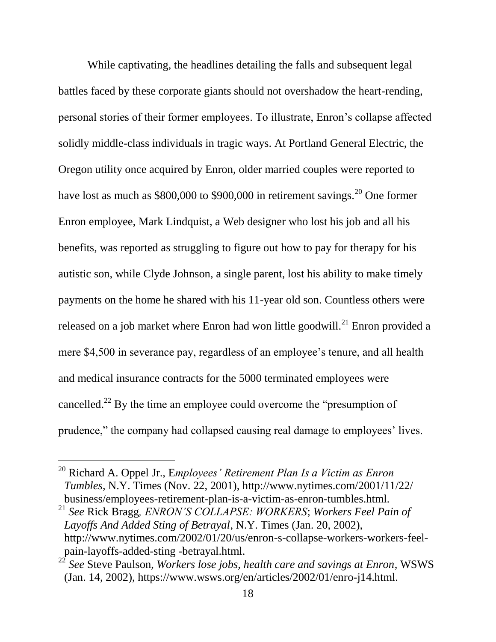While captivating, the headlines detailing the falls and subsequent legal battles faced by these corporate giants should not overshadow the heart-rending, personal stories of their former employees. To illustrate, Enron's collapse affected solidly middle-class individuals in tragic ways. At Portland General Electric, the Oregon utility once acquired by Enron, older married couples were reported to have lost as much as \$800,000 to \$900,000 in retirement savings.<sup>20</sup> One former Enron employee, Mark Lindquist, a Web designer who lost his job and all his benefits, was reported as struggling to figure out how to pay for therapy for his autistic son, while Clyde Johnson, a single parent, lost his ability to make timely payments on the home he shared with his 11-year old son. Countless others were released on a job market where Enron had won little goodwill.<sup>21</sup> Enron provided a mere \$4,500 in severance pay, regardless of an employee's tenure, and all health and medical insurance contracts for the 5000 terminated employees were cancelled.<sup>22</sup> By the time an employee could overcome the "presumption of prudence," the company had collapsed causing real damage to employees' lives.

<sup>20</sup> Richard A. Oppel Jr., E*mployees' Retirement Plan Is a Victim as Enron Tumbles*, N.Y. Times (Nov. 22, 2001), http://www.nytimes.com/2001/11/22/ business/employees-retirement-plan-is-a-victim-as-enron-tumbles.html.

<sup>21</sup> *See* Rick Bragg*, ENRON'S COLLAPSE: WORKERS*; *Workers Feel Pain of Layoffs And Added Sting of Betrayal*, N.Y. Times (Jan. 20, 2002), http://www.nytimes.com/2002/01/20/us/enron-s-collapse-workers-workers-feelpain-layoffs-added-sting -betrayal.html.

<sup>22</sup> *See* Steve Paulson, *Workers lose jobs, health care and savings at Enron*, WSWS (Jan. 14, 2002), https://www.wsws.org/en/articles/2002/01/enro-j14.html.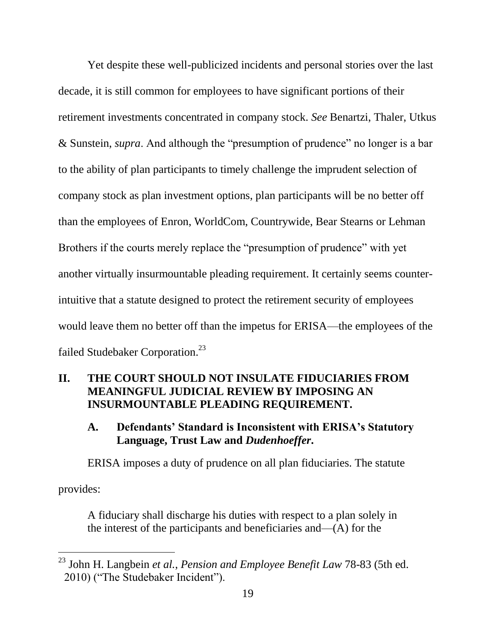Yet despite these well-publicized incidents and personal stories over the last decade, it is still common for employees to have significant portions of their retirement investments concentrated in company stock. *See* Benartzi, Thaler, Utkus & Sunstein, *supra*. And although the "presumption of prudence" no longer is a bar to the ability of plan participants to timely challenge the imprudent selection of company stock as plan investment options, plan participants will be no better off than the employees of Enron, WorldCom, Countrywide, Bear Stearns or Lehman Brothers if the courts merely replace the "presumption of prudence" with yet another virtually insurmountable pleading requirement. It certainly seems counterintuitive that a statute designed to protect the retirement security of employees would leave them no better off than the impetus for ERISA—the employees of the failed Studebaker Corporation.<sup>23</sup>

### <span id="page-29-0"></span>**II. THE COURT SHOULD NOT INSULATE FIDUCIARIES FROM MEANINGFUL JUDICIAL REVIEW BY IMPOSING AN INSURMOUNTABLE PLEADING REQUIREMENT.**

### <span id="page-29-1"></span>**A. Defendants' Standard is Inconsistent with ERISA's Statutory Language, Trust Law and** *Dudenhoeffer***.**

ERISA imposes a duty of prudence on all plan fiduciaries. The statute

provides:

 $\overline{a}$ 

A fiduciary shall discharge his duties with respect to a plan solely in the interest of the participants and beneficiaries and—(A) for the

<sup>23</sup> John H. Langbein *et al.*, *Pension and Employee Benefit Law* 78-83 (5th ed. 2010) ("The Studebaker Incident").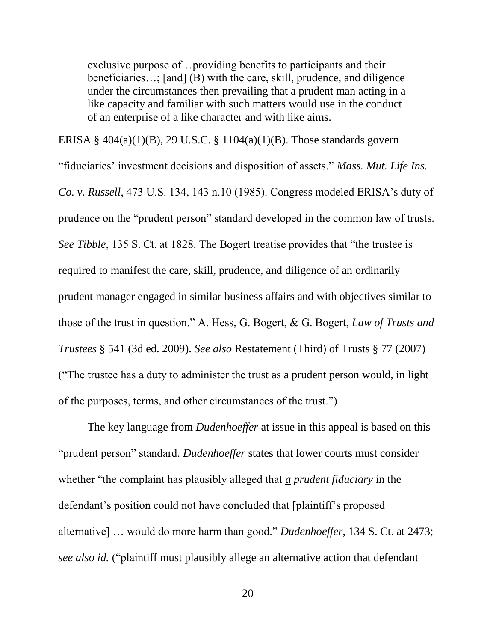exclusive purpose of…providing benefits to participants and their beneficiaries...; [and] (B) with the care, skill, prudence, and diligence under the circumstances then prevailing that a prudent man acting in a like capacity and familiar with such matters would use in the conduct of an enterprise of a like character and with like aims.

ERISA § 404(a)(1)(B), 29 U.S.C. § 1104(a)(1)(B). Those standards govern "fiduciaries' investment decisions and disposition of assets." *Mass. Mut. Life Ins. Co. v. Russell*, 473 U.S. 134, 143 n.10 (1985). Congress modeled ERISA's duty of prudence on the "prudent person" standard developed in the common law of trusts. *See Tibble*, 135 S. Ct. at 1828. The Bogert treatise provides that "the trustee is required to manifest the care, skill, prudence, and diligence of an ordinarily prudent manager engaged in similar business affairs and with objectives similar to those of the trust in question." A. Hess, G. Bogert, & G. Bogert, *Law of Trusts and Trustees* § 541 (3d ed. 2009). *See also* Restatement (Third) of Trusts § 77 (2007) ("The trustee has a duty to administer the trust as a prudent person would, in light of the purposes, terms, and other circumstances of the trust.")

The key language from *Dudenhoeffer* at issue in this appeal is based on this "prudent person" standard. *Dudenhoeffer* states that lower courts must consider whether "the complaint has plausibly alleged that *a prudent fiduciary* in the defendant's position could not have concluded that [plaintiff's proposed alternative] … would do more harm than good." *Dudenhoeffer*, 134 S. Ct. at 2473; *see also id.* ("plaintiff must plausibly allege an alternative action that defendant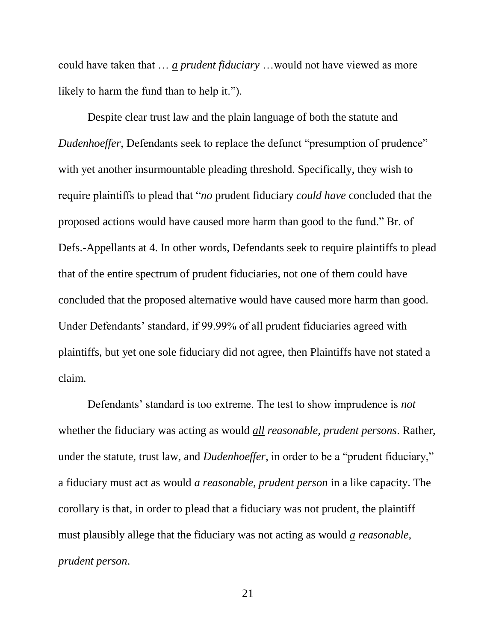could have taken that … *a prudent fiduciary* …would not have viewed as more likely to harm the fund than to help it.").

Despite clear trust law and the plain language of both the statute and *Dudenhoeffer*, Defendants seek to replace the defunct "presumption of prudence" with yet another insurmountable pleading threshold. Specifically, they wish to require plaintiffs to plead that "*no* prudent fiduciary *could have* concluded that the proposed actions would have caused more harm than good to the fund." Br. of Defs.-Appellants at 4. In other words, Defendants seek to require plaintiffs to plead that of the entire spectrum of prudent fiduciaries, not one of them could have concluded that the proposed alternative would have caused more harm than good. Under Defendants' standard, if 99.99% of all prudent fiduciaries agreed with plaintiffs, but yet one sole fiduciary did not agree, then Plaintiffs have not stated a claim.

Defendants' standard is too extreme. The test to show imprudence is *not*  whether the fiduciary was acting as would *all reasonable, prudent persons*. Rather, under the statute, trust law, and *Dudenhoeffer*, in order to be a "prudent fiduciary," a fiduciary must act as would *a reasonable, prudent person* in a like capacity. The corollary is that, in order to plead that a fiduciary was not prudent, the plaintiff must plausibly allege that the fiduciary was not acting as would *a reasonable, prudent person*.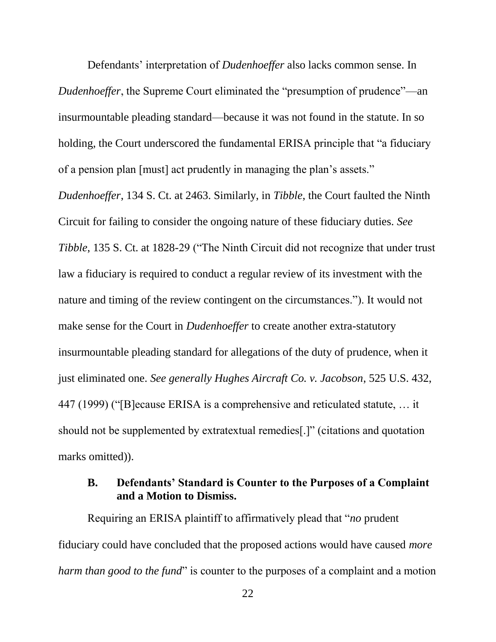Defendants' interpretation of *Dudenhoeffer* also lacks common sense. In *Dudenhoeffer*, the Supreme Court eliminated the "presumption of prudence"—an insurmountable pleading standard—because it was not found in the statute. In so holding, the Court underscored the fundamental ERISA principle that "a fiduciary of a pension plan [must] act prudently in managing the plan's assets."

*Dudenhoeffer*, 134 S. Ct. at 2463. Similarly, in *Tibble*, the Court faulted the Ninth Circuit for failing to consider the ongoing nature of these fiduciary duties. *See Tibble*, 135 S. Ct. at 1828-29 ("The Ninth Circuit did not recognize that under trust law a fiduciary is required to conduct a regular review of its investment with the nature and timing of the review contingent on the circumstances."). It would not make sense for the Court in *Dudenhoeffer* to create another extra-statutory insurmountable pleading standard for allegations of the duty of prudence, when it just eliminated one. *See generally Hughes Aircraft Co. v. Jacobson*, 525 U.S. 432, 447 (1999) ("[B]ecause ERISA is a comprehensive and reticulated statute, … it should not be supplemented by extratextual remedies[.]" (citations and quotation marks omitted).

### <span id="page-32-0"></span>**B. Defendants' Standard is Counter to the Purposes of a Complaint and a Motion to Dismiss.**

Requiring an ERISA plaintiff to affirmatively plead that "*no* prudent fiduciary could have concluded that the proposed actions would have caused *more harm than good to the fund*" is counter to the purposes of a complaint and a motion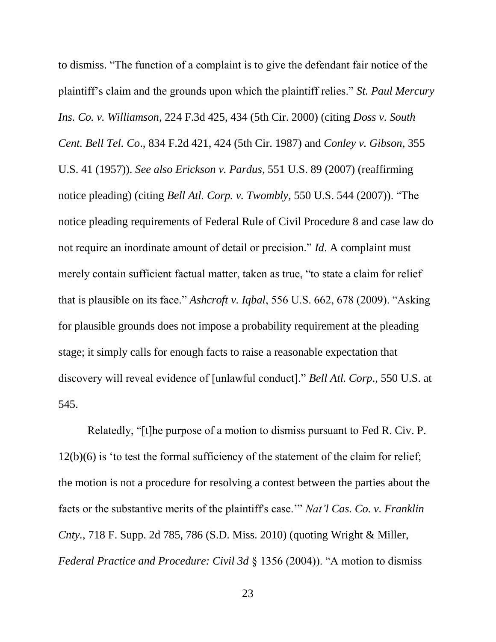to dismiss. "The function of a complaint is to give the defendant fair notice of the plaintiff's claim and the grounds upon which the plaintiff relies." *St. Paul Mercury Ins. Co. v. Williamson*, 224 F.3d 425, 434 (5th Cir. 2000) (citing *Doss v. South Cent. Bell Tel. Co*., 834 F.2d 421, 424 (5th Cir. 1987) and *Conley v. Gibson*, 355 U.S. 41 (1957)). *See also Erickson v. Pardus*, 551 U.S. 89 (2007) (reaffirming notice pleading) (citing *Bell Atl. Corp. v. Twombly*, 550 U.S. 544 (2007)). "The notice pleading requirements of Federal Rule of Civil Procedure 8 and case law do not require an inordinate amount of detail or precision." *Id*. A complaint must merely contain sufficient factual matter, taken as true, "to state a claim for relief that is plausible on its face." *Ashcroft v. Iqbal*, 556 U.S. 662, 678 (2009). "Asking for plausible grounds does not impose a probability requirement at the pleading stage; it simply calls for enough facts to raise a reasonable expectation that discovery will reveal evidence of [unlawful conduct]." *Bell Atl. Corp*., 550 U.S. at 545.

Relatedly, "[t]he purpose of a motion to dismiss pursuant to Fed R. Civ. P. 12(b)(6) is 'to test the formal sufficiency of the statement of the claim for relief; the motion is not a procedure for resolving a contest between the parties about the facts or the substantive merits of the plaintiff's case.'" *Nat'l Cas. Co. v. Franklin Cnty.*, 718 F. Supp. 2d 785, 786 (S.D. Miss. 2010) (quoting Wright & Miller, *Federal Practice and Procedure: Civil 3d* § 1356 (2004)). "A motion to dismiss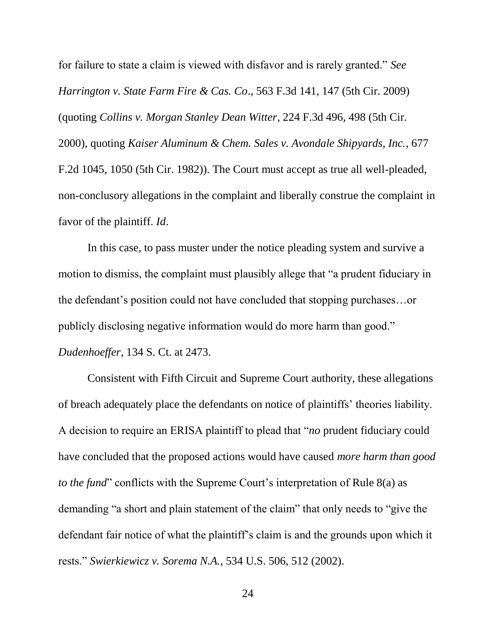for failure to state a claim is viewed with disfavor and is rarely granted." *See Harrington v. State Farm Fire & Cas. Co*., 563 F.3d 141, 147 (5th Cir. 2009) (quoting *Collins v. Morgan Stanley Dean Witter*, 224 F.3d 496, 498 (5th Cir. 2000), quoting *Kaiser Aluminum & Chem. Sales v. Avondale Shipyards, Inc.*, 677 F.2d 1045, 1050 (5th Cir. 1982)). The Court must accept as true all well-pleaded, non-conclusory allegations in the complaint and liberally construe the complaint in favor of the plaintiff. *Id*.

In this case, to pass muster under the notice pleading system and survive a motion to dismiss, the complaint must plausibly allege that "a prudent fiduciary in the defendant's position could not have concluded that stopping purchases…or publicly disclosing negative information would do more harm than good." *Dudenhoeffer*, 134 S. Ct. at 2473.

Consistent with Fifth Circuit and Supreme Court authority, these allegations of breach adequately place the defendants on notice of plaintiffs' theories liability. A decision to require an ERISA plaintiff to plead that "*no* prudent fiduciary could have concluded that the proposed actions would have caused *more harm than good to the fund*" conflicts with the Supreme Court's interpretation of Rule 8(a) as demanding "a short and plain statement of the claim" that only needs to "give the defendant fair notice of what the plaintiff's claim is and the grounds upon which it rests." *Swierkiewicz v. Sorema N.A.*, 534 U.S. 506, 512 (2002).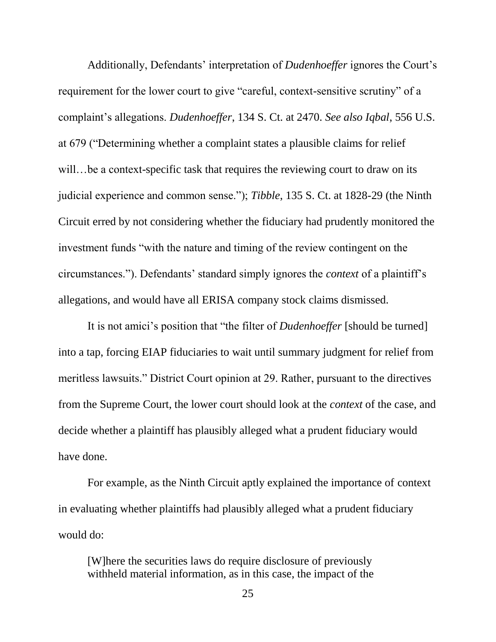Additionally, Defendants' interpretation of *Dudenhoeffer* ignores the Court's requirement for the lower court to give "careful, context-sensitive scrutiny" of a complaint's allegations. *Dudenhoeffer*, 134 S. Ct. at 2470. *See also Iqbal*, 556 U.S. at 679 ("Determining whether a complaint states a plausible claims for relief will...be a context-specific task that requires the reviewing court to draw on its judicial experience and common sense."); *Tibble*, 135 S. Ct. at 1828-29 (the Ninth Circuit erred by not considering whether the fiduciary had prudently monitored the investment funds "with the nature and timing of the review contingent on the circumstances."). Defendants' standard simply ignores the *context* of a plaintiff's allegations, and would have all ERISA company stock claims dismissed.

It is not amici's position that "the filter of *Dudenhoeffer* [should be turned] into a tap, forcing EIAP fiduciaries to wait until summary judgment for relief from meritless lawsuits." District Court opinion at 29. Rather, pursuant to the directives from the Supreme Court, the lower court should look at the *context* of the case, and decide whether a plaintiff has plausibly alleged what a prudent fiduciary would have done.

For example, as the Ninth Circuit aptly explained the importance of context in evaluating whether plaintiffs had plausibly alleged what a prudent fiduciary would do:

[W]here the securities laws do require disclosure of previously withheld material information, as in this case, the impact of the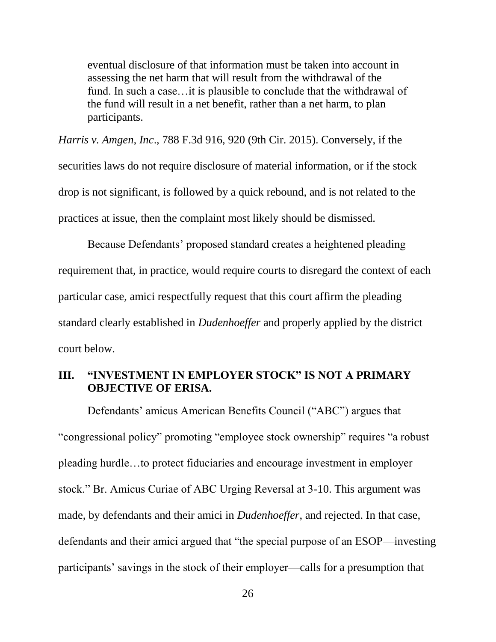eventual disclosure of that information must be taken into account in assessing the net harm that will result from the withdrawal of the fund. In such a case…it is plausible to conclude that the withdrawal of the fund will result in a net benefit, rather than a net harm, to plan participants.

*Harris v. Amgen, Inc*., 788 F.3d 916, 920 (9th Cir. 2015). Conversely, if the securities laws do not require disclosure of material information, or if the stock drop is not significant, is followed by a quick rebound, and is not related to the practices at issue, then the complaint most likely should be dismissed.

Because Defendants' proposed standard creates a heightened pleading requirement that, in practice, would require courts to disregard the context of each particular case, amici respectfully request that this court affirm the pleading standard clearly established in *Dudenhoeffer* and properly applied by the district court below.

### <span id="page-36-0"></span>**III. "INVESTMENT IN EMPLOYER STOCK" IS NOT A PRIMARY OBJECTIVE OF ERISA.**

Defendants' amicus American Benefits Council ("ABC") argues that "congressional policy" promoting "employee stock ownership" requires "a robust pleading hurdle…to protect fiduciaries and encourage investment in employer stock." Br. Amicus Curiae of ABC Urging Reversal at 3-10. This argument was made, by defendants and their amici in *Dudenhoeffer*, and rejected. In that case, defendants and their amici argued that "the special purpose of an ESOP—investing participants' savings in the stock of their employer—calls for a presumption that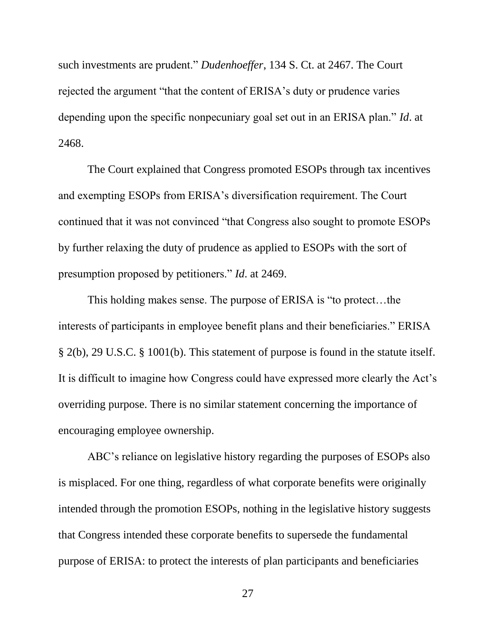such investments are prudent." *Dudenhoeffer*, 134 S. Ct. at 2467. The Court rejected the argument "that the content of ERISA's duty or prudence varies depending upon the specific nonpecuniary goal set out in an ERISA plan." *Id*. at 2468.

The Court explained that Congress promoted ESOPs through tax incentives and exempting ESOPs from ERISA's diversification requirement. The Court continued that it was not convinced "that Congress also sought to promote ESOPs by further relaxing the duty of prudence as applied to ESOPs with the sort of presumption proposed by petitioners." *Id*. at 2469.

This holding makes sense. The purpose of ERISA is "to protect…the interests of participants in employee benefit plans and their beneficiaries." ERISA § 2(b), 29 U.S.C. § 1001(b). This statement of purpose is found in the statute itself. It is difficult to imagine how Congress could have expressed more clearly the Act's overriding purpose. There is no similar statement concerning the importance of encouraging employee ownership.

ABC's reliance on legislative history regarding the purposes of ESOPs also is misplaced. For one thing, regardless of what corporate benefits were originally intended through the promotion ESOPs, nothing in the legislative history suggests that Congress intended these corporate benefits to supersede the fundamental purpose of ERISA: to protect the interests of plan participants and beneficiaries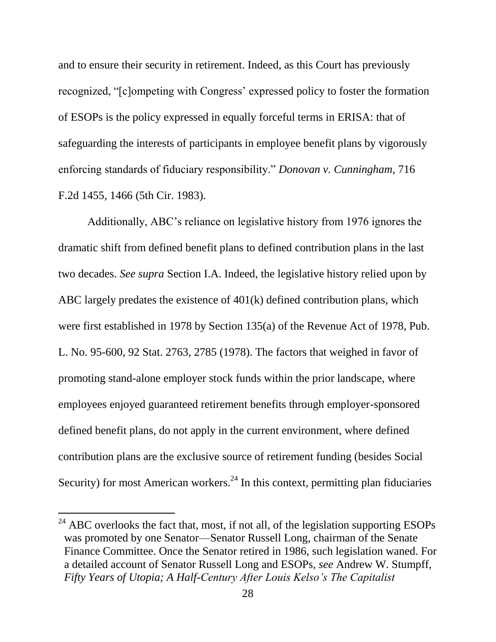and to ensure their security in retirement. Indeed, as this Court has previously recognized, "[c]ompeting with Congress' expressed policy to foster the formation of ESOPs is the policy expressed in equally forceful terms in ERISA: that of safeguarding the interests of participants in employee benefit plans by vigorously enforcing standards of fiduciary responsibility." *Donovan v. Cunningham*, 716 F.2d 1455, 1466 (5th Cir. 1983).

Additionally, ABC's reliance on legislative history from 1976 ignores the dramatic shift from defined benefit plans to defined contribution plans in the last two decades. *See supra* Section I.A. Indeed, the legislative history relied upon by ABC largely predates the existence of 401(k) defined contribution plans, which were first established in 1978 by Section 135(a) of the Revenue Act of 1978, Pub. L. No. 95-600, 92 Stat. 2763, 2785 (1978). The factors that weighed in favor of promoting stand-alone employer stock funds within the prior landscape, where employees enjoyed guaranteed retirement benefits through employer-sponsored defined benefit plans, do not apply in the current environment, where defined contribution plans are the exclusive source of retirement funding (besides Social Security) for most American workers.<sup>24</sup> In this context, permitting plan fiduciaries

 $^{24}$  ABC overlooks the fact that, most, if not all, of the legislation supporting ESOPs was promoted by one Senator—Senator Russell Long, chairman of the Senate Finance Committee. Once the Senator retired in 1986, such legislation waned. For a detailed account of Senator Russell Long and ESOPs, *see* Andrew W. Stumpff, *Fifty Years of Utopia; A Half-Century After Louis Kelso's The Capitalist*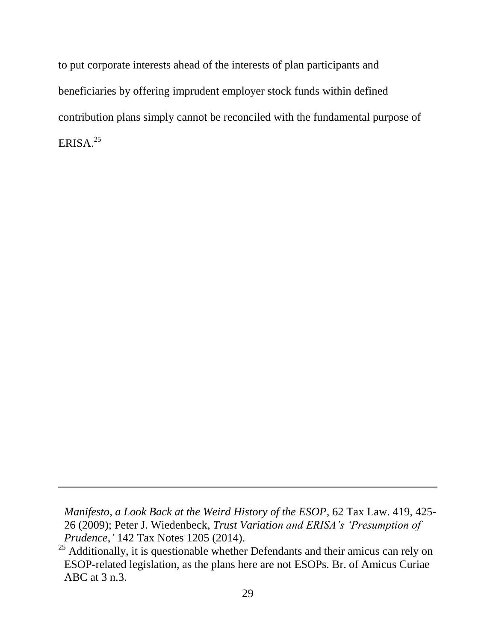to put corporate interests ahead of the interests of plan participants and beneficiaries by offering imprudent employer stock funds within defined contribution plans simply cannot be reconciled with the fundamental purpose of ERISA. $25$ 

l

*Manifesto, a Look Back at the Weird History of the ESOP*, 62 Tax Law. 419, 425- 26 (2009); Peter J. Wiedenbeck, *Trust Variation and ERISA's 'Presumption of Prudence*,*'* 142 Tax Notes 1205 (2014).

<sup>&</sup>lt;sup>25</sup> Additionally, it is questionable whether Defendants and their amicus can rely on ESOP-related legislation, as the plans here are not ESOPs. Br. of Amicus Curiae ABC at 3 n.3.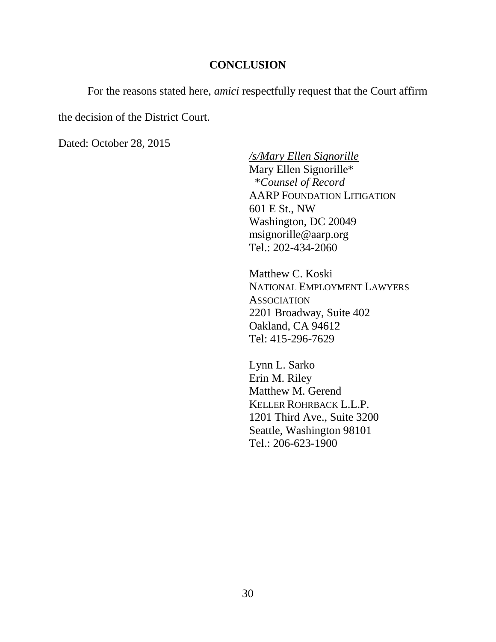#### **CONCLUSION**

<span id="page-40-0"></span>For the reasons stated here, *amici* respectfully request that the Court affirm

the decision of the District Court.

Dated: October 28, 2015

*/s/Mary Ellen Signorille* Mary Ellen Signorille\* \**Counsel of Record* AARP FOUNDATION LITIGATION 601 E St., NW Washington, DC 20049 msignorille@aarp.org Tel.: 202-434-2060

Matthew C. Koski NATIONAL EMPLOYMENT LAWYERS **ASSOCIATION** 2201 Broadway, Suite 402 Oakland, CA 94612 Tel: 415-296-7629

Lynn L. Sarko Erin M. Riley Matthew M. Gerend KELLER ROHRBACK L.L.P. 1201 Third Ave., Suite 3200 Seattle, Washington 98101 Tel.: 206-623-1900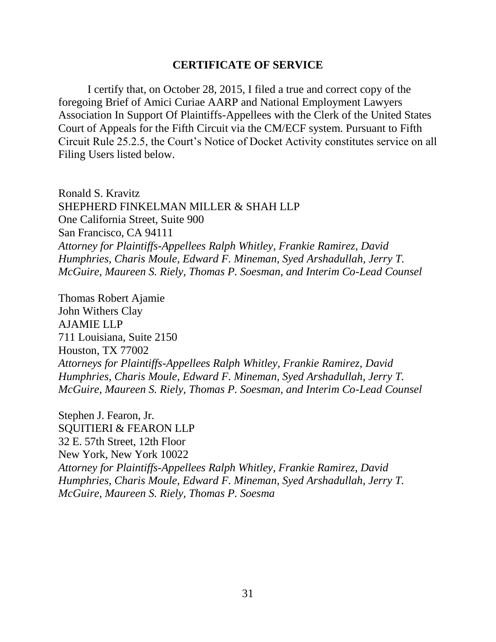#### **CERTIFICATE OF SERVICE**

I certify that, on October 28, 2015, I filed a true and correct copy of the foregoing Brief of Amici Curiae AARP and National Employment Lawyers Association In Support Of Plaintiffs-Appellees with the Clerk of the United States Court of Appeals for the Fifth Circuit via the CM/ECF system. Pursuant to Fifth Circuit Rule 25.2.5, the Court's Notice of Docket Activity constitutes service on all Filing Users listed below.

Ronald S. Kravitz SHEPHERD FINKELMAN MILLER & SHAH LLP One California Street, Suite 900 San Francisco, CA 94111 *Attorney for Plaintiffs-Appellees Ralph Whitley, Frankie Ramirez, David Humphries, Charis Moule, Edward F. Mineman, Syed Arshadullah, Jerry T. McGuire, Maureen S. Riely, Thomas P. Soesman, and Interim Co-Lead Counsel*

Thomas Robert Ajamie John Withers Clay AJAMIE LLP 711 Louisiana, Suite 2150 Houston, TX 77002 *Attorneys for Plaintiffs-Appellees Ralph Whitley, Frankie Ramirez, David Humphries, Charis Moule, Edward F. Mineman, Syed Arshadullah, Jerry T. McGuire, Maureen S. Riely, Thomas P. Soesman, and Interim Co-Lead Counsel*

Stephen J. Fearon, Jr. SQUITIERI & FEARON LLP 32 E. 57th Street, 12th Floor New York, New York 10022 *Attorney for Plaintiffs-Appellees Ralph Whitley, Frankie Ramirez, David Humphries, Charis Moule, Edward F. Mineman, Syed Arshadullah, Jerry T. McGuire, Maureen S. Riely, Thomas P. Soesma*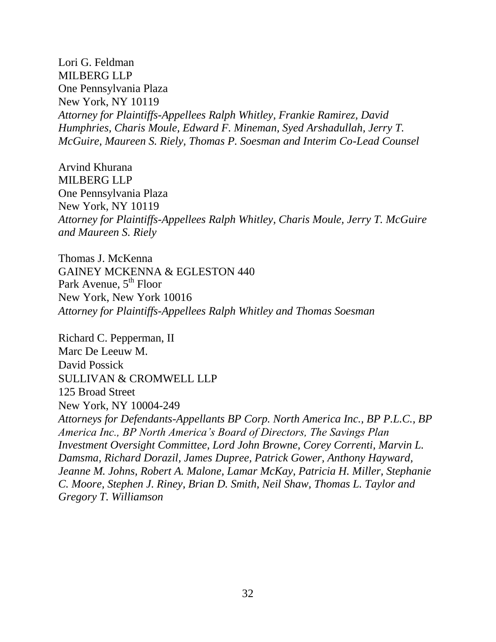Lori G. Feldman MILBERG LLP One Pennsylvania Plaza New York, NY 10119 *Attorney for Plaintiffs-Appellees Ralph Whitley, Frankie Ramirez, David Humphries, Charis Moule, Edward F. Mineman, Syed Arshadullah, Jerry T. McGuire, Maureen S. Riely, Thomas P. Soesman and Interim Co-Lead Counsel*

Arvind Khurana MILBERG LLP One Pennsylvania Plaza New York, NY 10119 *Attorney for Plaintiffs-Appellees Ralph Whitley, Charis Moule, Jerry T. McGuire and Maureen S. Riely*

Thomas J. McKenna GAINEY MCKENNA & EGLESTON 440 Park Avenue,  $5<sup>th</sup>$  Floor New York, New York 10016 *Attorney for Plaintiffs-Appellees Ralph Whitley and Thomas Soesman*

Richard C. Pepperman, II Marc De Leeuw M. David Possick SULLIVAN & CROMWELL LLP 125 Broad Street New York, NY 10004-249 *Attorneys for Defendants-Appellants BP Corp. North America Inc., BP P.L.C., BP America Inc., BP North America's Board of Directors, The Savings Plan Investment Oversight Committee, Lord John Browne, Corey Correnti, Marvin L. Damsma, Richard Dorazil, James Dupree, Patrick Gower, Anthony Hayward, Jeanne M. Johns, Robert A. Malone, Lamar McKay, Patricia H. Miller, Stephanie C. Moore, Stephen J. Riney, Brian D. Smith, Neil Shaw, Thomas L. Taylor and Gregory T. Williamson*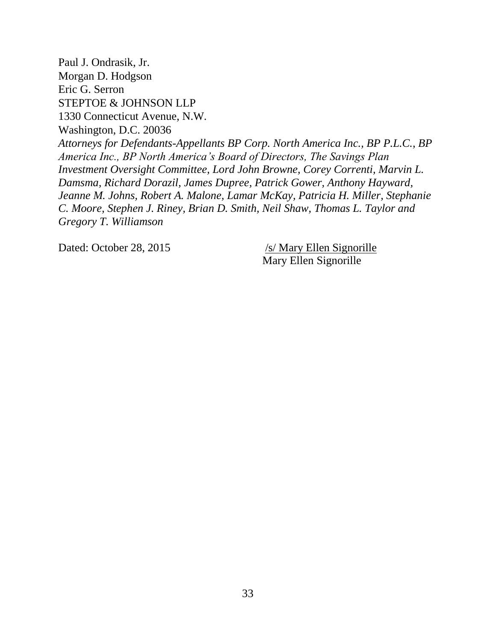Paul J. Ondrasik, Jr. Morgan D. Hodgson Eric G. Serron STEPTOE & JOHNSON LLP 1330 Connecticut Avenue, N.W. Washington, D.C. 20036 *Attorneys for Defendants-Appellants BP Corp. North America Inc., BP P.L.C., BP America Inc., BP North America's Board of Directors, The Savings Plan Investment Oversight Committee, Lord John Browne, Corey Correnti, Marvin L. Damsma, Richard Dorazil, James Dupree, Patrick Gower, Anthony Hayward, Jeanne M. Johns, Robert A. Malone, Lamar McKay, Patricia H. Miller, Stephanie C. Moore, Stephen J. Riney, Brian D. Smith, Neil Shaw, Thomas L. Taylor and Gregory T. Williamson*

Dated: October 28, 2015 /s/ Mary Ellen Signorille

Mary Ellen Signorille